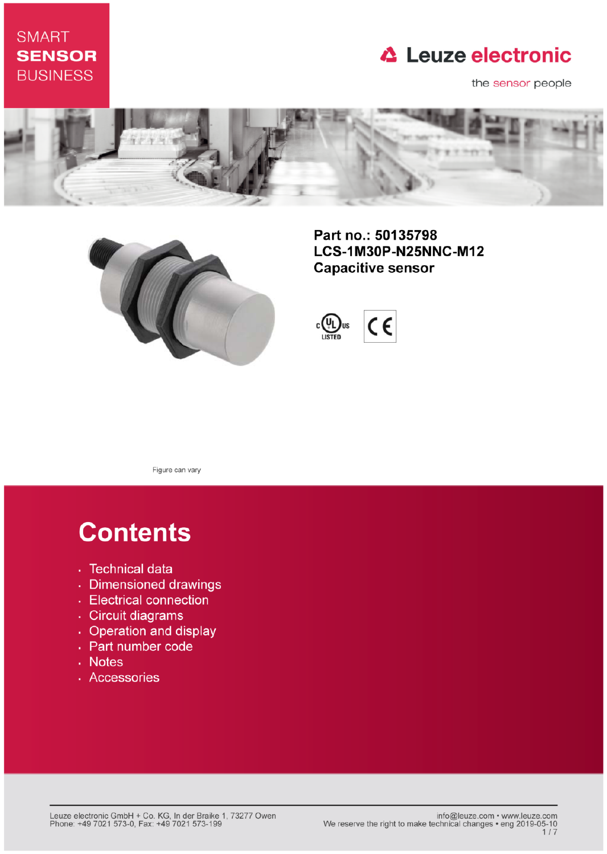### **SMART SENSOR BUSINESS**

## **△ Leuze electronic**

the sensor people





Part no.: 50135798 LCS-1M30P-N25NNC-M12 **Capacitive sensor** 



Figure can vary

# **Contents**

- · Technical data
- · Dimensioned drawings
- Electrical connection
- · Circuit diagrams
- Operation and display
- Part number code
- Notes
- · Accessories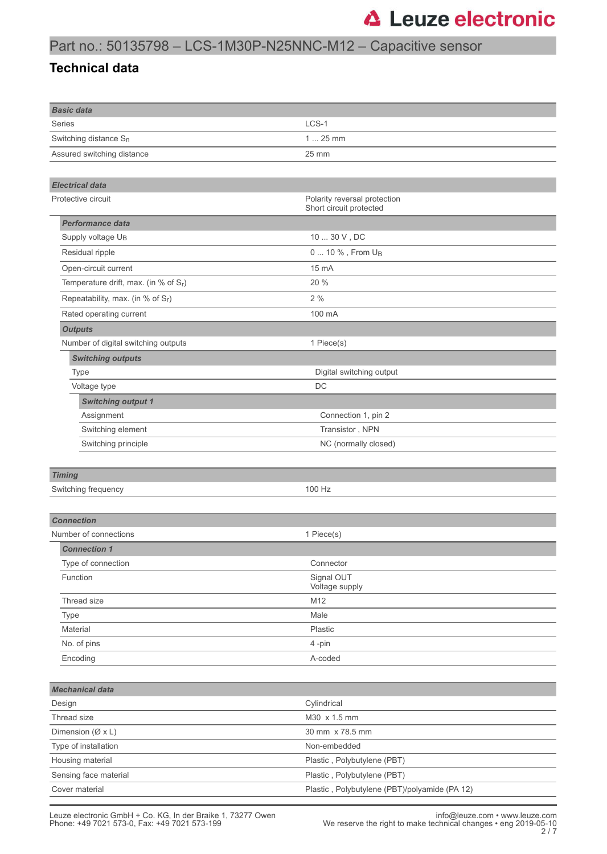### Part no.: 50135798 – LCS-1M30P-N25NNC-M12 – Capacitive sensor

### **Technical data**

| <b>Basic data</b>                        |                                                         |  |
|------------------------------------------|---------------------------------------------------------|--|
| Series                                   | LCS-1                                                   |  |
| Switching distance $S_n$                 | $125$ mm                                                |  |
| Assured switching distance               | 25 mm                                                   |  |
|                                          |                                                         |  |
| <b>Electrical data</b>                   |                                                         |  |
| Protective circuit                       | Polarity reversal protection<br>Short circuit protected |  |
| <b>Performance data</b>                  |                                                         |  |
| Supply voltage UB                        | $1030$ V , DC                                           |  |
| Residual ripple                          | 0  10 %, From U <sub>B</sub>                            |  |
| Open-circuit current                     | 15 mA                                                   |  |
| Temperature drift, max. (in % of $S_r$ ) | 20 %                                                    |  |
| Repeatability, max. (in % of Sr)         | 2%                                                      |  |
| Rated operating current                  | 100 mA                                                  |  |
| <b>Outputs</b>                           |                                                         |  |
| Number of digital switching outputs      | 1 Piece(s)                                              |  |
| <b>Switching outputs</b>                 |                                                         |  |
| <b>Type</b>                              | Digital switching output                                |  |
| Voltage type                             | DC                                                      |  |
| <b>Switching output 1</b>                |                                                         |  |
| Assignment                               | Connection 1, pin 2                                     |  |
| Switching element                        | Transistor, NPN                                         |  |
| Switching principle                      | NC (normally closed)                                    |  |
|                                          |                                                         |  |
| <b>Timing</b>                            |                                                         |  |
| Switching frequency                      | 100 Hz                                                  |  |
|                                          |                                                         |  |
| <b>Connection</b>                        |                                                         |  |
| Number of connections                    | 1 Piece(s)                                              |  |
| <b>Connection 1</b>                      |                                                         |  |
| Type of connection                       | Connector                                               |  |
| Function                                 | Signal OUT<br>Voltage supply                            |  |
| Thread size                              | M12                                                     |  |
| Type                                     | Male                                                    |  |
| Material                                 | Plastic                                                 |  |
| No. of pins                              | 4-pin                                                   |  |
| Encoding                                 | A-coded                                                 |  |
|                                          |                                                         |  |
| <b>Mechanical data</b>                   |                                                         |  |
| Design                                   | Cylindrical                                             |  |
| Thread size                              | M30 x 1.5 mm                                            |  |
| Dimension ( $(X \times L)$ )             | 30 mm x 78.5 mm                                         |  |
| Type of installation                     | Non-embedded                                            |  |
| Housing material                         | Plastic, Polybutylene (PBT)                             |  |
| Sensing face material                    | Plastic, Polybutylene (PBT)                             |  |
| Cover material                           | Plastic, Polybutylene (PBT)/polyamide (PA 12)           |  |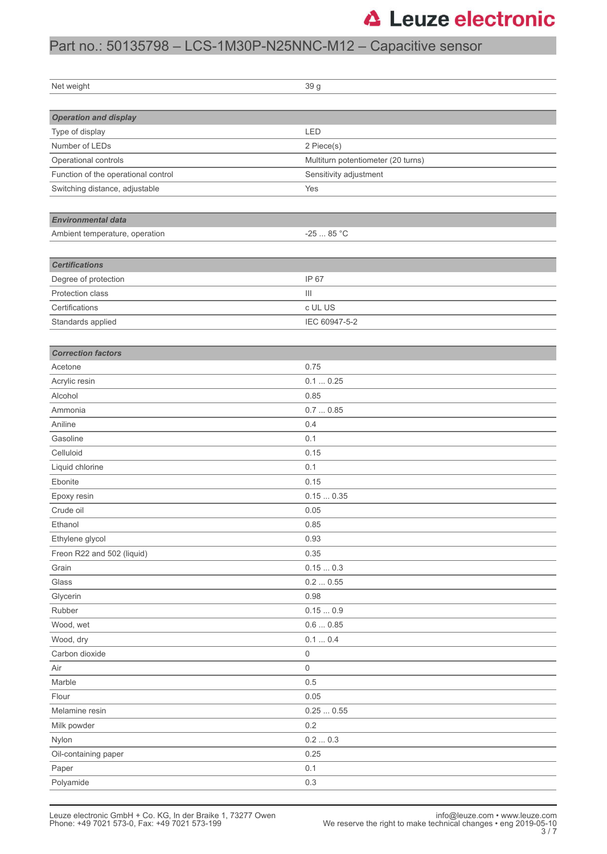### Part no.: 50135798 – LCS-1M30P-N25NNC-M12 – Capacitive sensor

| Net weight                          | 39 g                               |  |
|-------------------------------------|------------------------------------|--|
|                                     |                                    |  |
| <b>Operation and display</b>        |                                    |  |
| Type of display                     | LED                                |  |
| Number of LEDs                      | 2 Piece(s)                         |  |
| Operational controls                | Multiturn potentiometer (20 turns) |  |
| Function of the operational control | Sensitivity adjustment             |  |
| Switching distance, adjustable      | Yes                                |  |
|                                     |                                    |  |
| <b>Environmental data</b>           |                                    |  |
| Ambient temperature, operation      | $-2585 °C$                         |  |
|                                     |                                    |  |
| <b>Certifications</b>               |                                    |  |
| Degree of protection                | IP 67                              |  |
| Protection class                    | $\vert\vert\vert$                  |  |
| Certifications                      | c UL US                            |  |
| Standards applied                   | IEC 60947-5-2                      |  |
|                                     |                                    |  |
|                                     |                                    |  |
| <b>Correction factors</b>           |                                    |  |
| Acetone                             | 0.75                               |  |
| Acrylic resin                       | 0.10.25                            |  |
| Alcohol                             | 0.85                               |  |
| Ammonia                             | 0.70.85                            |  |
| Aniline                             | 0.4                                |  |
| Gasoline                            | 0.1                                |  |
| Celluloid                           | 0.15                               |  |
| Liquid chlorine                     | 0.1                                |  |
| Ebonite                             | 0.15                               |  |
| Epoxy resin                         | 0.150.35                           |  |
| Crude oil                           | 0.05                               |  |
| Ethanol                             | 0.85                               |  |
| Ethylene glycol                     | 0.93                               |  |
| Freon R22 and 502 (liquid)          | 0.35                               |  |
| Grain                               | $0.15\ldots 0.3$                   |  |
| Glass                               | 0.20.55                            |  |
| Glycerin                            | 0.98                               |  |
| Rubber                              | 0.150.9                            |  |
| Wood, wet                           | 0.60.85                            |  |
| Wood, dry                           | $0.1 \dots 0.4$                    |  |
| Carbon dioxide                      | 0                                  |  |
| Air                                 | 0                                  |  |
| Marble                              | $0.5\,$                            |  |
| Flour                               | 0.05                               |  |
| Melamine resin                      | 0.250.55                           |  |
| Milk powder                         | 0.2                                |  |
| Nylon                               | $0.2\,\ldots\,0.3$                 |  |
| Oil-containing paper                | 0.25                               |  |
| Paper                               | 0.1                                |  |
| Polyamide                           | $0.3\,$                            |  |
|                                     |                                    |  |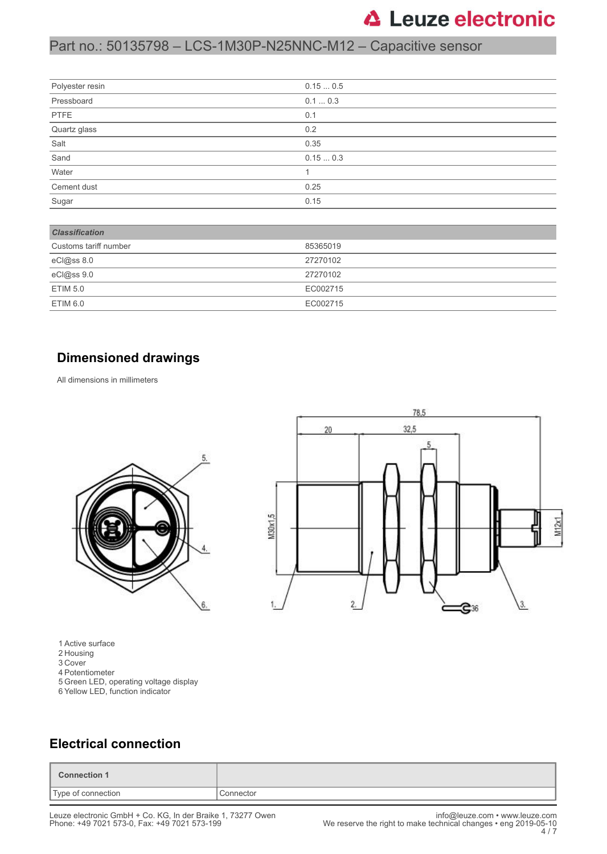### Part no.: 50135798 – LCS-1M30P-N25NNC-M12 – Capacitive sensor

| Polyester resin | 0.150.5 |
|-----------------|---------|
| Pressboard      | 0.10.3  |
| PTFE            | 0.1     |
| Quartz glass    | 0.2     |
| Salt            | 0.35    |
| Sand            | 0.150.3 |
| Water           |         |
| Cement dust     | 0.25    |
| Sugar           | 0.15    |

| <b>Classification</b> |          |
|-----------------------|----------|
| Customs tariff number | 85365019 |
| eCl@ss 8.0            | 27270102 |
| eCl@ss 9.0            | 27270102 |
| <b>ETIM 5.0</b>       | EC002715 |
| <b>ETIM 6.0</b>       | EC002715 |

#### **Dimensioned drawings**

All dimensions in millimeters



1 Active surface

- 2 Housing
- 3 Cover
- 4 Potentiometer
- 5 Green LED, operating voltage display
- 6 Yellow LED, function indicator



#### **Electrical connection**

| Connection 1       |           |
|--------------------|-----------|
| Type of connection | Connector |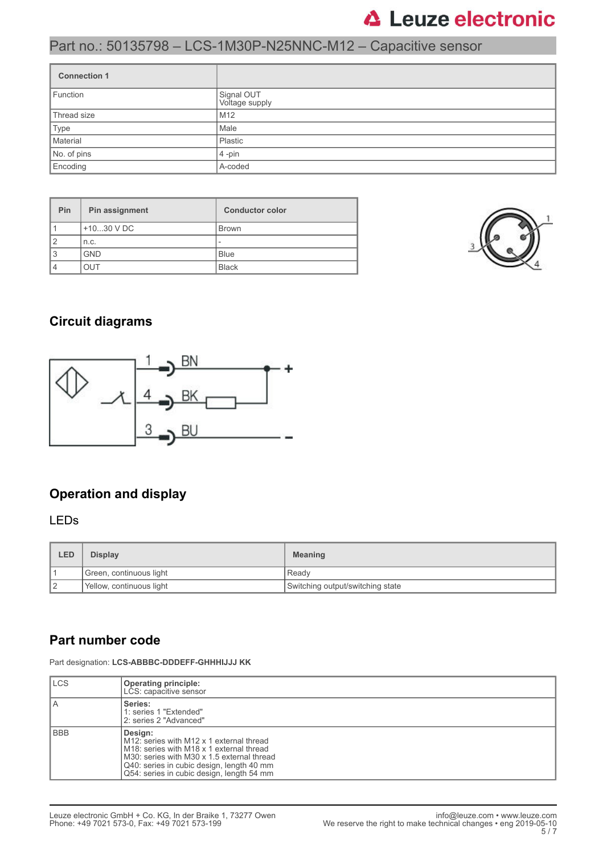### Part no.: 50135798 – LCS-1M30P-N25NNC-M12 – Capacitive sensor

| <b>Connection 1</b> |                              |  |
|---------------------|------------------------------|--|
| Function            | Signal OUT<br>Voltage supply |  |
| Thread size         | M <sub>12</sub>              |  |
| Type                | Male                         |  |
| Material            | Plastic                      |  |
| No. of pins         | $4$ -pin                     |  |
| Encoding            | A-coded                      |  |

| Pin | Pin assignment | <b>Conductor color</b>   |
|-----|----------------|--------------------------|
|     | $+1030$ V DC   | <b>Brown</b>             |
| 2   | n.c.           | $\overline{\phantom{a}}$ |
| 3   | <b>GND</b>     | <b>Blue</b>              |
| 4   | דו ור          | <b>Black</b>             |



### **Circuit diagrams**



### **Operation and display**

#### LEDs

| LED | <b>Display</b>           | <b>Meaning</b>                   |
|-----|--------------------------|----------------------------------|
|     | Green, continuous light  | l Readv                          |
| 12  | Yellow, continuous light | Switching output/switching state |

### **Part number code**

Part designation: **LCS-ABBBC-DDDEFF-GHHHIJJJ KK**

| <b>LCS</b> | Operating principle:<br>LCS: capacitive sensor                                                                                                                                                                                                                   |
|------------|------------------------------------------------------------------------------------------------------------------------------------------------------------------------------------------------------------------------------------------------------------------|
| l A        | Series:<br>1: series 1 "Extended"<br>2: series 2 "Advanced"                                                                                                                                                                                                      |
| l BBB      | Design:<br>M12: series with M12 x 1 external thread<br>M <sub>18</sub> : series with M <sub>18</sub> x 1 external thread<br>M30: series with M30 x 1.5 external thread<br>Q40: series in cubic design, length 40 mm<br>Q54: series in cubic design, length 54 mm |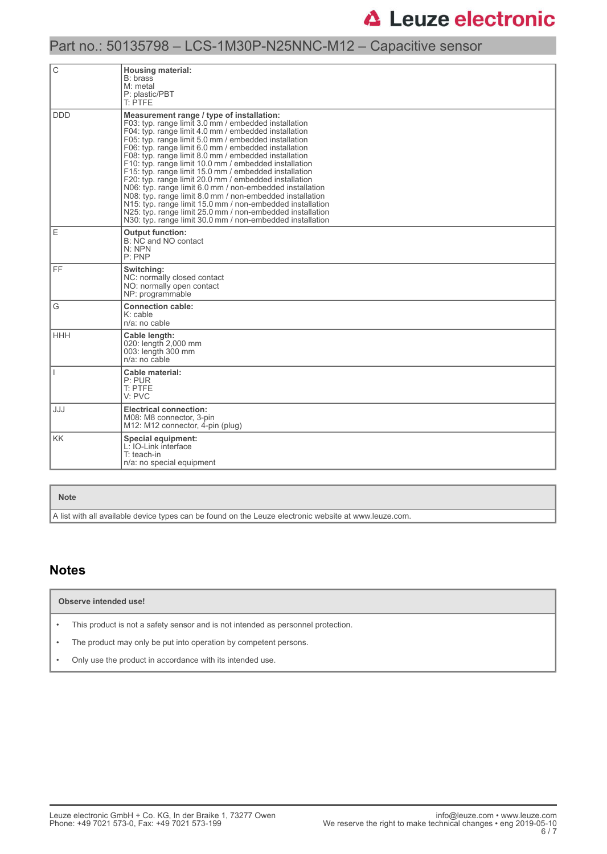### Part no.: 50135798 – LCS-1M30P-N25NNC-M12 – Capacitive sensor

| С          | <b>Housing material:</b><br>B: brass<br>$M:$ metal<br>P: plastic/PBT<br>T: PTFE                                                                                                                                                                                                                                                                                                                                                                                                                                                                                                                                                                                                                                                                                                                                             |  |  |  |
|------------|-----------------------------------------------------------------------------------------------------------------------------------------------------------------------------------------------------------------------------------------------------------------------------------------------------------------------------------------------------------------------------------------------------------------------------------------------------------------------------------------------------------------------------------------------------------------------------------------------------------------------------------------------------------------------------------------------------------------------------------------------------------------------------------------------------------------------------|--|--|--|
| <b>DDD</b> | Measurement range / type of installation:<br>F03: typ. range limit 3.0 mm / embedded installation<br>F04: typ. range limit 4.0 mm / embedded installation<br>F05: typ. range limit 5.0 mm / embedded installation<br>F06: typ. range limit 6.0 mm / embedded installation<br>F08: typ. range limit 8.0 mm / embedded installation<br>F10: typ. range limit 10.0 mm / embedded installation<br>F15: typ. range limit 15.0 mm / embedded installation<br>F20: typ. range limit 20.0 mm / embedded installation<br>N06: typ. range limit 6.0 mm / non-embedded installation<br>N08: typ. range limit 8.0 mm / non-embedded installation<br>N15: typ. range limit 15.0 mm / non-embedded installation<br>N25: typ. range limit 25.0 mm / non-embedded installation<br>N30: typ. range limit 30.0 mm / non-embedded installation |  |  |  |
| E          | <b>Output function:</b><br>B: NC and NO contact<br>N: NPN<br>P:PNP                                                                                                                                                                                                                                                                                                                                                                                                                                                                                                                                                                                                                                                                                                                                                          |  |  |  |
| FF.        | Switching:<br>NC: normally closed contact<br>NO: normally open contact<br>NP: programmable                                                                                                                                                                                                                                                                                                                                                                                                                                                                                                                                                                                                                                                                                                                                  |  |  |  |
| G          | <b>Connection cable:</b><br>$K:$ cable<br>$n/a$ : no cable                                                                                                                                                                                                                                                                                                                                                                                                                                                                                                                                                                                                                                                                                                                                                                  |  |  |  |
| HHH        | Cable length:<br>020: length 2,000 mm<br>003: length 300 mm<br>$n/a$ : no cable                                                                                                                                                                                                                                                                                                                                                                                                                                                                                                                                                                                                                                                                                                                                             |  |  |  |
|            | Cable material:<br>P: PUR<br>T: PTFE<br>V: PVC                                                                                                                                                                                                                                                                                                                                                                                                                                                                                                                                                                                                                                                                                                                                                                              |  |  |  |
| JJJ        | <b>Electrical connection:</b><br>M08: M8 connector, 3-pin<br>M12: M12 connector, 4-pin (plug)                                                                                                                                                                                                                                                                                                                                                                                                                                                                                                                                                                                                                                                                                                                               |  |  |  |
| <b>KK</b>  | Special equipment:<br>L: IO-Link interface<br>T: teach-in<br>n/a: no special equipment                                                                                                                                                                                                                                                                                                                                                                                                                                                                                                                                                                                                                                                                                                                                      |  |  |  |

#### **Note**

A list with all available device types can be found on the Leuze electronic website at www.leuze.com.

#### **Notes**

**Observe intended use!**

• This product is not a safety sensor and is not intended as personnel protection.

• The product may only be put into operation by competent persons.

• Only use the product in accordance with its intended use.